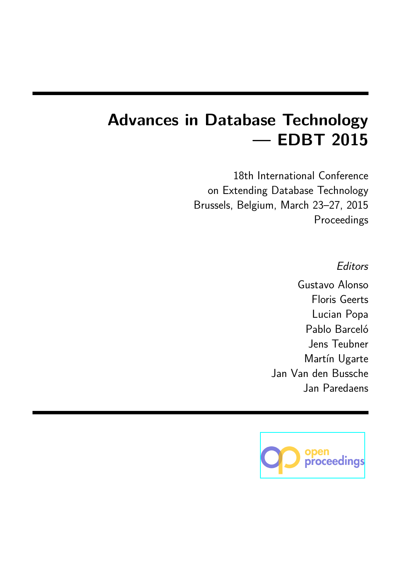# **Advances in Database Technology — EDBT 2015**

18th International Conference on Extending Database Technology Brussels, Belgium, March 23–27, 2015 Proceedings

*Editors*

Gustavo Alonso Floris Geerts Lucian Popa Pablo Barceló Jens Teubner Martín Ugarte Jan Van den Bussche Jan Paredaens

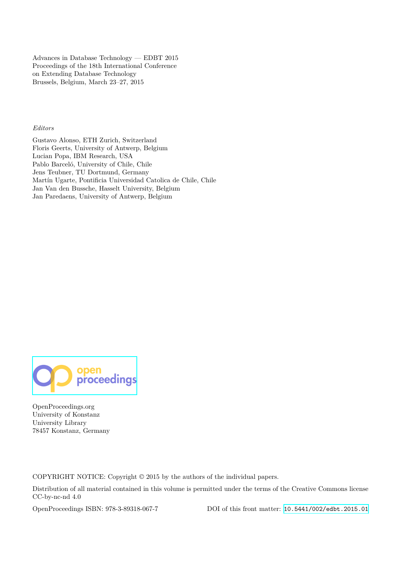Advances in Database Technology — EDBT 2015 Proceedings of the 18th International Conference on Extending Database Technology Brussels, Belgium, March 23–27, 2015

#### *Editors*

Gustavo Alonso, ETH Zurich, Switzerland Floris Geerts, University of Antwerp, Belgium Lucian Popa, IBM Research, USA Pablo Barceló, University of Chile, Chile Jens Teubner, TU Dortmund, Germany Martín Ugarte, Pontificia Universidad Catolica de Chile, Chile Jan Van den Bussche, Hasselt University, Belgium Jan Paredaens, University of Antwerp, Belgium



OpenProceedings.org University of Konstanz University Library 78457 Konstanz, Germany

COPYRIGHT NOTICE: Copyright © 2015 by the authors of the individual papers.

Distribution of all material contained in this volume is permitted under the terms of the Creative Commons license CC-by-nc-nd 4.0

OpenProceedings ISBN: 978-3-89318-067-7 DOI of this front matter: [10.5441/002/edbt.2015.01](http://dx.doi.org/10.5441/002/edbt.2015.01)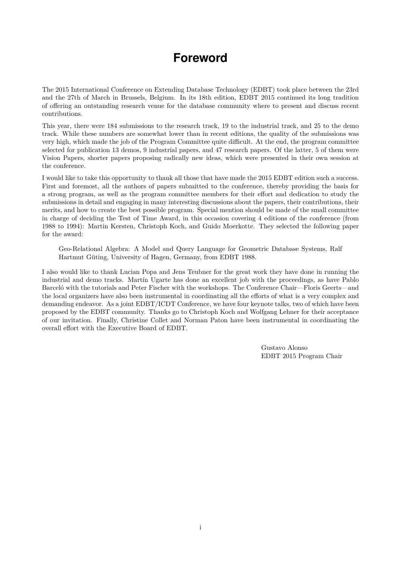### **Foreword**

<span id="page-2-0"></span>The 2015 International Conference on Extending Database Technology (EDBT) took place between the 23rd and the 27th of March in Brussels, Belgium. In its 18th edition, EDBT 2015 continued its long tradition of offering an outstanding research venue for the database community where to present and discuss recent contributions.

This year, there were 184 submissions to the research track, 19 to the industrial track, and 25 to the demo track. While these numbers are somewhat lower than in recent editions, the quality of the submissions was very high, which made the job of the Program Committee quite difficult. At the end, the program committee selected for publication 13 demos, 9 industrial papers, and 47 research papers. Of the latter, 5 of them were Vision Papers, shorter papers proposing radically new ideas, which were presented in their own session at the conference.

I would like to take this opportunity to thank all those that have made the 2015 EDBT edition such a success. First and foremost, all the authors of papers submitted to the conference, thereby providing the basis for a strong program, as well as the program committee members for their effort and dedication to study the submissions in detail and engaging in many interesting discussions about the papers, their contributions, their merits, and how to create the best possible program. Special mention should be made of the small committee in charge of deciding the Test of Time Award, in this occasion covering 4 editions of the conference (from 1988 to 1994): Martin Kersten, Christoph Koch, and Guido Moerkotte. They selected the following paper for the award:

Geo-Relational Algebra: A Model and Query Language for Geometric Database Systems, Ralf Hartmut Güting, University of Hagen, Germany, from EDBT 1988.

I also would like to thank Lucian Popa and Jens Teubner for the great work they have done in running the industrial and demo tracks. Martín Ugarte has done an excellent job with the proceedings, as have Pablo Barceló with the tutorials and Peter Fischer with the workshops. The Conference Chair—Floris Geerts—and the local organizers have also been instrumental in coordinating all the efforts of what is a very complex and demanding endeavor. As a joint EDBT/ICDT Conference, we have four keynote talks, two of which have been proposed by the EDBT community. Thanks go to Christoph Koch and Wolfgang Lehner for their acceptance of our invitation. Finally, Christine Collet and Norman Paton have been instrumental in coordinating the overall effort with the Executive Board of EDBT.

> Gustavo Alonso EDBT 2015 Program Chair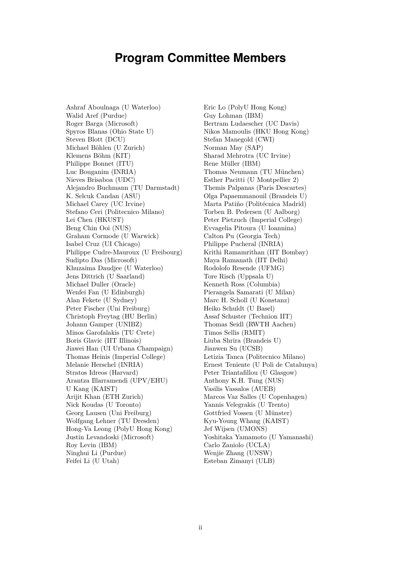### **Program Committee Members**

<span id="page-3-0"></span>Ashraf Aboulnaga (U Waterloo) Walid Aref (Purdue) Roger Barga (Microsoft) Spyros Blanas (Ohio State U) Steven Blott (DCU) Michael Böhlen (U Zurich) Klemens Böhm (KIT) Philippe Bonnet (ITU) Luc Bouganim (INRIA) Nieves Brisaboa (UDC) Alejandro Buchmann (TU Darmstadt) K. Selcuk Candan (ASU) Michael Carey (UC Irvine) Stefano Ceri (Politecnico Milano) Lei Chen (HKUST) Beng Chin Ooi (NUS) Graham Cormode (U Warwick) Isabel Cruz (UI Chicago) Philippe Cudre-Mauroux (U Freibourg) Sudipto Das (Microsoft) Khuzaima Daudjee (U Waterloo) Jens Dittrich (U Saarland) Michael Duller (Oracle) Wenfei Fan (U Edinburgh) Alan Fekete (U Sydney) Peter Fischer (Uni Freiburg) Christoph Freytag (HU Berlin) Johann Gamper (UNIBZ) Minos Garofalakis (TU Crete) Boris Glavic (IIT Illinois) Jiawei Han (UI Urbana Champaign) Thomas Heinis (Imperial College) Melanie Herschel (INRIA) Stratos Idreos (Harvard) Arantza Illarramendi (UPV/EHU) U Kang (KAIST) Arijit Khan (ETH Zurich) Nick Koudas (U Toronto) Georg Lausen (Uni Freiburg) Wolfgang Lehner (TU Dresden) Hong-Va Leong (PolyU Hong Kong) Justin Levandoski (Microsoft) Roy Levin (IBM) Ninghui Li (Purdue) Feifei Li (U Utah)

Eric Lo (PolyU Hong Kong) Guy Lohman (IBM) Bertram Ludaescher (UC Davis) Nikos Mamoulis (HKU Hong Kong) Stefan Manegold (CWI) Norman May (SAP) Sharad Mehrotra (UC Irvine) Rene Müller (IBM) Thomas Neumann (TU München) Esther Pacitti (U Montpellier 2) Themis Palpanas (Paris Descartes) Olga Papaemmanouil (Brandeis U) Marta Patiño (Politécnica Madrid) Torben B. Pedersen (U Aalborg) Peter Pietzuch (Imperial College) Evvagelia Pitoura (U Ioannina) Calton Pu (Georgia Tech) Philippe Pucheral (INRIA) Krithi Ramamrithan (IIT Bombay) Maya Ramanath (IIT Delhi) Rodolofo Resende (UFMG) Tore Risch (Uppsala U) Kenneth Ross (Columbia) Pierangela Samarati (U Milan) Marc H. Scholl (U Konstanz) Heiko Schuldt (U Basel) Assaf Schuster (Technion IIT) Thomas Seidl (RWTH Aachen) Timos Sellis (RMIT) Liuba Shrira (Brandeis U) Jianwen Su (UCSB) Letizia Tanca (Politecnico Milano) Ernest Teniente (U Poli de Catalunya) Peter Triantafillou (U Glasgow) Anthony K.H. Tung (NUS) Vasilis Vassalos (AUEB) Marcos Vaz Salles (U Copenhagen) Yannis Velegrakis (U Trento) Gottfried Vossen (U Münster) Kyu-Young Whang (KAIST) Jef Wijsen (UMONS) Yoshitaka Yamamoto (U Yamanashi) Carlo Zaniolo (UCLA) Wenjie Zhang (UNSW) Esteban Zimanyi (ULB)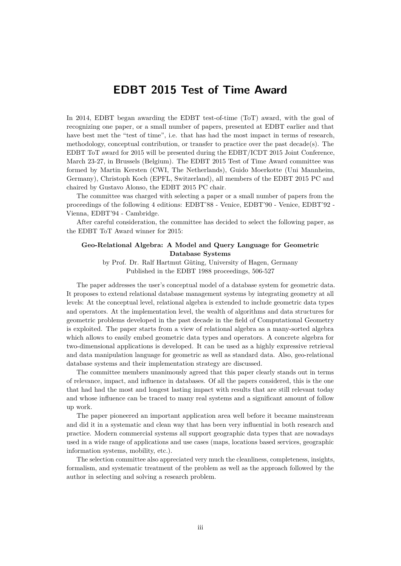#### **EDBT 2015 Test of Time Award**

<span id="page-4-0"></span>In 2014, EDBT began awarding the EDBT test-of-time (ToT) award, with the goal of recognizing one paper, or a small number of papers, presented at EDBT earlier and that have best met the "test of time", i.e. that has had the most impact in terms of research, methodology, conceptual contribution, or transfer to practice over the past decade(s). The EDBT ToT award for 2015 will be presented during the EDBT/ICDT 2015 Joint Conference, March 23-27, in Brussels (Belgium). The EDBT 2015 Test of Time Award committee was formed by Martin Kersten (CWI, The Netherlands), Guido Moerkotte (Uni Mannheim, Germany), Christoph Koch (EPFL, Switzerland), all members of the EDBT 2015 PC and chaired by Gustavo Alonso, the EDBT 2015 PC chair.

The committee was charged with selecting a paper or a small number of papers from the proceedings of the following 4 editions: EDBT'88 - Venice, EDBT'90 - Venice, EDBT'92 - Vienna, EDBT'94 - Cambridge.

After careful consideration, the committee has decided to select the following paper, as the EDBT ToT Award winner for 2015:

#### **Geo-Relational Algebra: A Model and Query Language for Geometric Database Systems**

by Prof. Dr. Ralf Hartmut Güting, University of Hagen, Germany Published in the EDBT 1988 proceedings, 506-527

The paper addresses the user's conceptual model of a database system for geometric data. It proposes to extend relational database management systems by integrating geometry at all levels: At the conceptual level, relational algebra is extended to include geometric data types and operators. At the implementation level, the wealth of algorithms and data structures for geometric problems developed in the past decade in the field of Computational Geometry is exploited. The paper starts from a view of relational algebra as a many-sorted algebra which allows to easily embed geometric data types and operators. A concrete algebra for two-dimensional applications is developed. It can be used as a highly expressive retrieval and data manipulation language for geometric as well as standard data. Also, geo-relational database systems and their implementation strategy are discussed.

The committee members unanimously agreed that this paper clearly stands out in terms of relevance, impact, and influence in databases. Of all the papers considered, this is the one that had had the most and longest lasting impact with results that are still relevant today and whose influence can be traced to many real systems and a significant amount of follow up work.

The paper pioneered an important application area well before it became mainstream and did it in a systematic and clean way that has been very influential in both research and practice. Modern commercial systems all support geographic data types that are nowadays used in a wide range of applications and use cases (maps, locations based services, geographic information systems, mobility, etc.).

The selection committee also appreciated very much the cleanliness, completeness, insights, formalism, and systematic treatment of the problem as well as the approach followed by the author in selecting and solving a research problem.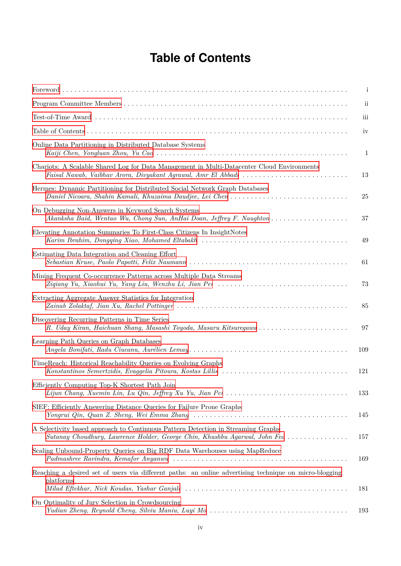## **Table of Contents**

<span id="page-5-0"></span>

|                                                                                                                                                                             | $\mathbf{i}$            |
|-----------------------------------------------------------------------------------------------------------------------------------------------------------------------------|-------------------------|
|                                                                                                                                                                             | $\overline{\mathbf{u}}$ |
|                                                                                                                                                                             | iii                     |
|                                                                                                                                                                             | iv                      |
| Online Data Partitioning in Distributed Database Systems                                                                                                                    | 1                       |
| Chariots: A Scalable Shared Log for Data Management in Multi-Datacenter Cloud Environments<br>Faisal Nawab, Vaibhav Arora, Divyakant Agrawal, Amr El Abbadi                 | 13                      |
| Hermes: Dynamic Partitioning for Distributed Social Network Graph Databases<br>Daniel Nicoara, Shahin Kamali, Khuzaima Daudjee, Lei Chen                                    | 25                      |
| On Debugging Non-Answers in Keyword Search Systems                                                                                                                          | 37                      |
| Elevating Annotation Summaries To First-Class Citizens In InsightNotes                                                                                                      | 49                      |
| Estimating Data Integration and Cleaning Effort                                                                                                                             | 61                      |
| Mining Frequent Co-occurrence Patterns across Multiple Data Streams                                                                                                         | 73                      |
| Extracting Aggregate Answer Statistics for Integration                                                                                                                      | 85                      |
| Discovering Recurring Patterns in Time Series<br>R. Uday Kiran, Haichuan Shang, Masashi Toyoda, Masaru Kitsuregawa                                                          | 97                      |
| Learning Path Queries on Graph Databases                                                                                                                                    | 109                     |
| TimeReach: Historical Reachability Queries on Evolving Graphs                                                                                                               | 121                     |
| Efficiently Computing Top-K Shortest Path Join<br>Lijun Chang, Xuemin Lin, Lu Qin, Jeffrey Xu Yu, Jian Pei $\ldots \ldots \ldots \ldots \ldots \ldots \ldots \ldots \ldots$ | 133                     |
| SIEF: Efficiently Answering Distance Queries for Failure Prone Graphs                                                                                                       | 145                     |
| A Selectivity based approach to Continuous Pattern Detection in Streaming Graphs<br>Sutanay Choudhury, Lawrence Holder, George Chin, Khushbu Agarwal, John Feo              | 157                     |
| Scaling Unbound-Property Queries on Big RDF Data Warehouses using MapReduce                                                                                                 | 169                     |
| Reaching a desired set of users via different paths: an online advertising technique on micro-blogging<br>platforms                                                         | 181                     |
| On Optimality of Jury Selection in Crowdsourcing                                                                                                                            | 193                     |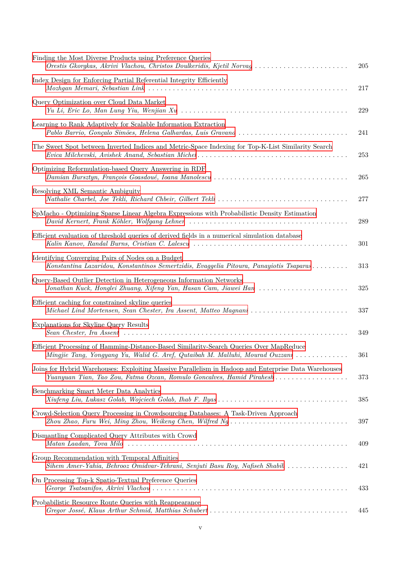| Finding the Most Diverse Products using Preference Queries<br>Orestis Gkorgkas, Akrivi Vlachou, Christos Doulkeridis, Kjetil Norvag                                                                              | 205 |
|------------------------------------------------------------------------------------------------------------------------------------------------------------------------------------------------------------------|-----|
| Index Design for Enforcing Partial Referential Integrity Efficiently                                                                                                                                             | 217 |
| Query Optimization over Cloud Data Market                                                                                                                                                                        | 229 |
| Learning to Rank Adaptively for Scalable Information Extraction                                                                                                                                                  | 241 |
| The Sweet Spot between Inverted Indices and Metric-Space Indexing for Top-K-List Similarity Search                                                                                                               | 253 |
| Optimizing Reformulation-based Query Answering in RDF                                                                                                                                                            | 265 |
| Resolving XML Semantic Ambiguity                                                                                                                                                                                 | 277 |
| SpMacho - Optimizing Sparse Linear Algebra Expressions with Probabilistic Density Estimation                                                                                                                     | 289 |
| Efficient evaluation of threshold queries of derived fields in a numerical simulation database                                                                                                                   | 301 |
| Identifying Converging Pairs of Nodes on a Budget<br>Konstantina Lazaridou, Konstantinos Semertzidis, Evaggelia Pitoura, Panayiotis Tsaparas                                                                     | 313 |
| Query-Based Outlier Detection in Heterogeneous Information Networks<br>Jonathan Kuck, Honglei Zhuang, Xifeng Yan, Hasan Cam, Jiawei Han                                                                          | 325 |
| Efficient caching for constrained skyline queries<br>Michael Lind Mortensen, Sean Chester, Ira Assent, Matteo Magnani                                                                                            | 337 |
| Explanations for Skyline Query Results                                                                                                                                                                           | 349 |
| Efficient Processing of Hamming-Distance-Based Similarity-Search Queries Over MapReduce<br>Mingjie Tang, Yongyang Yu, Walid G. Aref, Qutaibah M. Malluhi, Mourad Ouzzani                                         | 361 |
| Joins for Hybrid Warehouses: Exploiting Massive Parallelism in Hadoop and Enterprise Data Warehouses<br>Yuanyuan Tian, Tao Zou, Fatma Ozcan, Romulo Goncalves, Hamid Pirahesh                                    | 373 |
| Benchmarking Smart Meter Data Analytics                                                                                                                                                                          | 385 |
| Crowd-Selection Query Processing in Crowdsourcing Databases: A Task-Driven Approach<br>Zhou Zhao, Furu Wei, Ming Zhou, Weikeng Chen, Wilfred $Ng \ldots \ldots \ldots \ldots \ldots \ldots \ldots \ldots \ldots$ | 397 |
| Dismantling Complicated Query Attributes with Crowd                                                                                                                                                              | 409 |
| Group Recommendation with Temporal Affinities<br>Sihem Amer-Yahia, Behrooz Omidvar-Tehrani, Senjuti Basu Roy, Nafiseh Shabib                                                                                     | 421 |
| On Processing Top-k Spatio-Textual Preference Queries                                                                                                                                                            | 433 |
| Probabilistic Resource Route Queries with Reappearance                                                                                                                                                           | 445 |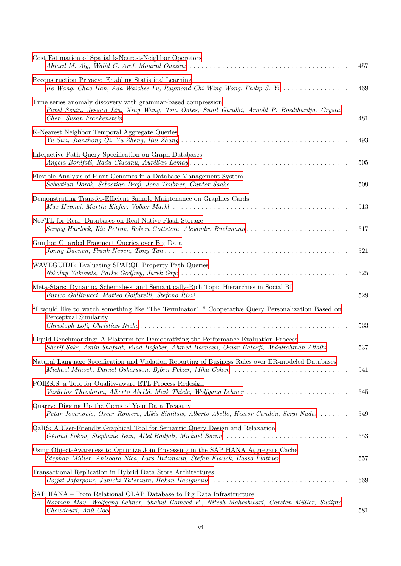| Cost Estimation of Spatial k-Nearest-Neighbor Operators                                                                                                                           | 457 |
|-----------------------------------------------------------------------------------------------------------------------------------------------------------------------------------|-----|
| Reconstruction Privacy: Enabling Statistical Learning<br>Ke Wang, Chao Han, Ada Waichee Fu, Raymond Chi Wing Wong, Philip S. Yu                                                   | 469 |
| Time series anomaly discovery with grammar-based compression<br>Pavel Senin, Jessica Lin, Xing Wang, Tim Oates, Sunil Gandhi, Arnold P. Boedihardjo, Crystal                      | 481 |
| K-Nearest Neighbor Temporal Aggregate Queries                                                                                                                                     | 493 |
| Interactive Path Query Specification on Graph Databases                                                                                                                           | 505 |
| Flexible Analysis of Plant Genomes in a Database Management System                                                                                                                | 509 |
| Demonstrating Transfer-Efficient Sample Maintenance on Graphics Cards                                                                                                             | 513 |
| NoFTL for Real: Databases on Real Native Flash Storage<br>Sergey Hardock, Ilia Petrov, Robert Gottstein, Alejandro Buchmann                                                       | 517 |
| Gumbo: Guarded Fragment Queries over Big Data                                                                                                                                     | 521 |
| WAVEGUIDE: Evaluating SPARQL Property Path Queries                                                                                                                                | 525 |
| Meta-Stars: Dynamic, Schemaless, and Semantically-Rich Topic Hierarchies in Social BI                                                                                             | 529 |
| "I would like to watch something like 'The Terminator'" Cooperative Query Personalization Based on<br>Perceptual Similarity                                                       | 533 |
| Liquid Benchmarking: A Platform for Democratizing the Performance Evaluation Process<br>Sherif Sakr, Amin Shafaat, Fuad Bajaber, Ahmed Barnawi, Omar Batarfi, Abdulrahman Altalhi | 537 |
| Natural Language Specification and Violation Reporting of Business Rules over ER-modeled Databases<br>Michael Minock, Daniel Oskarsson, Björn Pelzer, Mika Cohen                  | 541 |
| POIESIS: a Tool for Quality-aware ETL Process Redesign<br>Vasileios Theodorou, Alberto Abelló, Maik Thiele, Wolfgang Lehner                                                       | 545 |
| Quarry: Digging Up the Gems of Your Data Treasury<br>Petar Jovanovic, Oscar Romero, Alkis Simitsis, Alberto Abelló, Héctor Candón, Sergi Nadal                                    | 549 |
| QaRS: A User-Friendly Graphical Tool for Semantic Query Design and Relaxation                                                                                                     | 553 |
| Using Object-Awareness to Optimize Join Processing in the SAP HANA Aggregate Cache<br>Stephan Müller, Anisoara Nica, Lars Butzmann, Stefan Klauck, Hasso Plattner                 | 557 |
| Transactional Replication in Hybrid Data Store Architectures                                                                                                                      | 569 |
| SAP HANA – From Relational OLAP Database to Big Data Infrastructure<br>Norman May, Wolfgang Lehner, Shahul Hameed P., Nitesh Maheshwari, Carsten Müller, Sudipto                  | 581 |